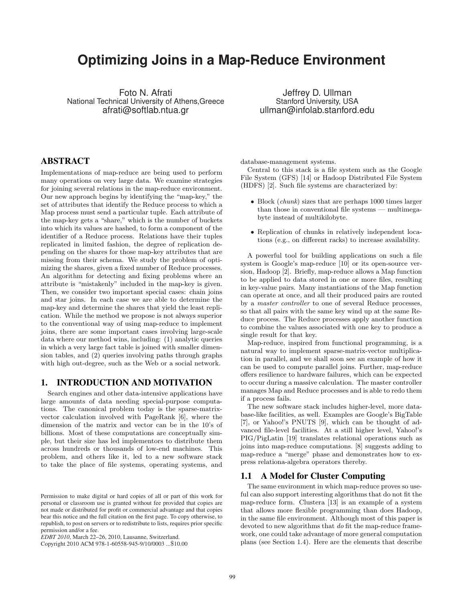# **Optimizing Joins in a Map-Reduce Environment**

Foto N. Afrati National Technical University of Athens,Greece afrati@softlab.ntua.gr

Jeffrey D. Ullman Stanford University, USA ullman@infolab.stanford.edu

# ABSTRACT

Implementations of map-reduce are being used to perform many operations on very large data. We examine strategies for joining several relations in the map-reduce environment. Our new approach begins by identifying the "map-key," the set of attributes that identify the Reduce process to which a Map process must send a particular tuple. Each attribute of the map-key gets a "share," which is the number of buckets into which its values are hashed, to form a component of the identifier of a Reduce process. Relations have their tuples replicated in limited fashion, the degree of replication depending on the shares for those map-key attributes that are missing from their schema. We study the problem of optimizing the shares, given a fixed number of Reduce processes. An algorithm for detecting and fixing problems where an attribute is "mistakenly" included in the map-key is given. Then, we consider two important special cases: chain joins and star joins. In each case we are able to determine the map-key and determine the shares that yield the least replication. While the method we propose is not always superior to the conventional way of using map-reduce to implement joins, there are some important cases involving large-scale data where our method wins, including: (1) analytic queries in which a very large fact table is joined with smaller dimension tables, and (2) queries involving paths through graphs with high out-degree, such as the Web or a social network.

# 1. INTRODUCTION AND MOTIVATION

Search engines and other data-intensive applications have large amounts of data needing special-purpose computations. The canonical problem today is the sparse-matrixvector calculation involved with PageRank [6], where the dimension of the matrix and vector can be in the 10's of billions. Most of these computations are conceptually simple, but their size has led implementors to distribute them across hundreds or thousands of low-end machines. This problem, and others like it, led to a new software stack to take the place of file systems, operating systems, and

database-management systems.

Central to this stack is a file system such as the Google File System (GFS) [14] or Hadoop Distributed File System (HDFS) [2]. Such file systems are characterized by:

- Block *(chunk)* sizes that are perhaps 1000 times larger than those in conventional file systems — multimegabyte instead of multikilobyte.
- Replication of chunks in relatively independent locations (e.g., on different racks) to increase availability.

A powerful tool for building applications on such a file system is Google's map-reduce [10] or its open-source version, Hadoop [2]. Briefly, map-reduce allows a Map function to be applied to data stored in one or more files, resulting in key-value pairs. Many instantiations of the Map function can operate at once, and all their produced pairs are routed by a master controller to one of several Reduce processes, so that all pairs with the same key wind up at the same Reduce process. The Reduce processes apply another function to combine the values associated with one key to produce a single result for that key.

Map-reduce, inspired from functional programming, is a natural way to implement sparse-matrix-vector multiplication in parallel, and we shall soon see an example of how it can be used to compute parallel joins. Further, map-reduce offers resilience to hardware failures, which can be expected to occur during a massive calculation. The master controller manages Map and Reduce processes and is able to redo them if a process fails.

The new software stack includes higher-level, more database-like facilities, as well. Examples are Google's BigTable [7], or Yahoo!'s PNUTS [9], which can be thought of advanced file-level facilities. At a still higher level, Yahoo!'s PIG/PigLatin [19] translates relational operations such as joins into map-reduce computations. [8] suggests adding to map-reduce a "merge" phase and demonstrates how to express relationa-algebra operators thereby.

## 1.1 A Model for Cluster Computing

The same environment in which map-reduce proves so useful can also support interesting algorithms that do not fit the map-reduce form. Clustera [13] is an example of a system that allows more flexible programming than does Hadoop, in the same file environment. Although most of this paper is devoted to new algorithms that do fit the map-reduce framework, one could take advantage of more general computation plans (see Section 1.4). Here are the elements that describe

Permission to make digital or hard copies of all or part of this work for personal or classroom use is granted without fee provided that copies are not made or distributed for profit or commercial advantage and that copies bear this notice and the full citation on the first page. To copy otherwise, to republish, to post on servers or to redistribute to lists, requires prior specific permission and/or a fee.

*EDBT 2010*, March 22–26, 2010, Lausanne, Switzerland.

Copyright 2010 ACM 978-1-60558-945-9/10/0003 ...\$10.00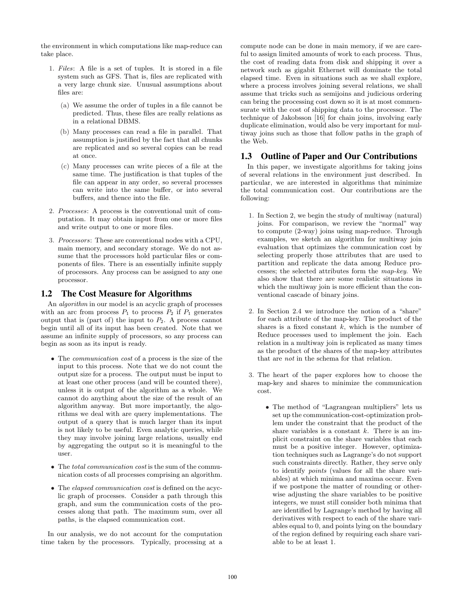the environment in which computations like map-reduce can take place.

- 1. Files: A file is a set of tuples. It is stored in a file system such as GFS. That is, files are replicated with a very large chunk size. Unusual assumptions about files are:
	- (a) We assume the order of tuples in a file cannot be predicted. Thus, these files are really relations as in a relational DBMS.
	- (b) Many processes can read a file in parallel. That assumption is justified by the fact that all chunks are replicated and so several copies can be read at once.
	- (c) Many processes can write pieces of a file at the same time. The justification is that tuples of the file can appear in any order, so several processes can write into the same buffer, or into several buffers, and thence into the file.
- 2. Processes: A process is the conventional unit of computation. It may obtain input from one or more files and write output to one or more files.
- 3. Processors: These are conventional nodes with a CPU, main memory, and secondary storage. We do not assume that the processors hold particular files or components of files. There is an essentially infinite supply of processors. Any process can be assigned to any one processor.

# 1.2 The Cost Measure for Algorithms

An algorithm in our model is an acyclic graph of processes with an arc from process  $P_1$  to process  $P_2$  if  $P_1$  generates output that is (part of) the input to  $P_2$ . A process cannot begin until all of its input has been created. Note that we assume an infinite supply of processors, so any process can begin as soon as its input is ready.

- The communication cost of a process is the size of the input to this process. Note that we do not count the output size for a process. The output must be input to at least one other process (and will be counted there), unless it is output of the algorithm as a whole. We cannot do anything about the size of the result of an algorithm anyway. But more importantly, the algorithms we deal with are query implementations. The output of a query that is much larger than its input is not likely to be useful. Even analytic queries, while they may involve joining large relations, usually end by aggregating the output so it is meaningful to the user.
- The *total communication cost* is the sum of the communication costs of all processes comprising an algorithm.
- The *elapsed communication cost* is defined on the acyclic graph of processes. Consider a path through this graph, and sum the communication costs of the processes along that path. The maximum sum, over all paths, is the elapsed communication cost.

In our analysis, we do not account for the computation time taken by the processors. Typically, processing at a compute node can be done in main memory, if we are careful to assign limited amounts of work to each process. Thus, the cost of reading data from disk and shipping it over a network such as gigabit Ethernet will dominate the total elapsed time. Even in situations such as we shall explore, where a process involves joining several relations, we shall assume that tricks such as semijoins and judicious ordering can bring the processing cost down so it is at most commensurate with the cost of shipping data to the processor. The technique of Jakobsson [16] for chain joins, involving early duplicate elimination, would also be very important for multiway joins such as those that follow paths in the graph of the Web.

# 1.3 Outline of Paper and Our Contributions

In this paper, we investigate algorithms for taking joins of several relations in the environment just described. In particular, we are interested in algorithms that minimize the total communication cost. Our contributions are the following:

- 1. In Section 2, we begin the study of multiway (natural) joins. For comparison, we review the "normal" way to compute (2-way) joins using map-reduce. Through examples, we sketch an algorithm for multiway join evaluation that optimizes the communication cost by selecting properly those attributes that are used to partition and replicate the data among Reduce processes; the selected attributes form the map-key. We also show that there are some realistic situations in which the multiway join is more efficient than the conventional cascade of binary joins.
- 2. In Section 2.4 we introduce the notion of a "share" for each attribute of the map-key. The product of the shares is a fixed constant  $k$ , which is the number of Reduce processes used to implement the join. Each relation in a multiway join is replicated as many times as the product of the shares of the map-key attributes that are not in the schema for that relation.
- 3. The heart of the paper explores how to choose the map-key and shares to minimize the communication cost.
	- The method of "Lagrangean multipliers" lets us set up the communication-cost-optimization problem under the constraint that the product of the share variables is a constant  $k$ . There is an implicit constraint on the share variables that each must be a positive integer. However, optimization techniques such as Lagrange's do not support such constraints directly. Rather, they serve only to identify points (values for all the share variables) at which minima and maxima occur. Even if we postpone the matter of rounding or otherwise adjusting the share variables to be positive integers, we must still consider both minima that are identified by Lagrange's method by having all derivatives with respect to each of the share variables equal to 0, and points lying on the boundary of the region defined by requiring each share variable to be at least 1.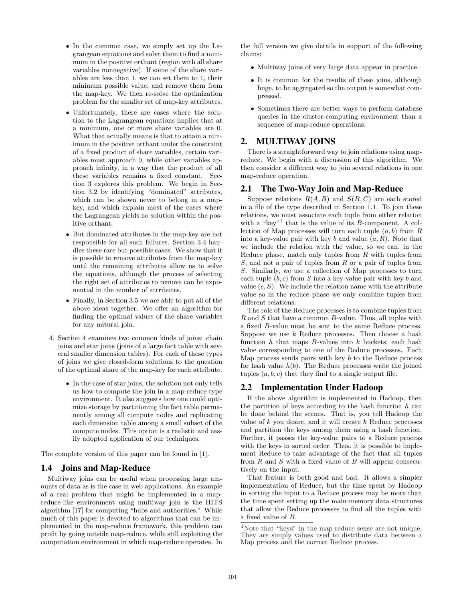- In the common case, we simply set up the Lagrangean equations and solve them to find a minimum in the positive orthant (region with all share variables nonnegative). If some of the share variables are less than 1, we can set them to 1, their minimum possible value, and remove them from the map-key. We then re-solve the optimization problem for the smaller set of map-key attributes.
- Unfortunately, there are cases where the solution to the Lagrangean equations implies that at a minimum, one or more share variables are 0. What that actually means is that to attain a minimum in the positive orthant under the constraint of a fixed product of share variables, certain variables must approach 0, while other variables approach infinity, in a way that the product of all these variables remains a fixed constant. Section 3 explores this problem. We begin in Section 3.2 by identifying "dominated" attributes, which can be shown never to belong in a mapkey, and which explain most of the cases where the Lagrangean yields no solution within the positive orthant.
- But dominated attributes in the map-key are not responsible for all such failures. Section 3.4 handles these rare but possible cases. We show that it is possible to remove attributes from the map-key until the remaining attributes allow us to solve the equations, although the process of selecting the right set of attributes to remove can be exponential in the number of attributes.
- Finally, in Section 3.5 we are able to put all of the above ideas together. We offer an algorithm for finding the optimal values of the share variables for any natural join.
- 4. Section 4 examines two common kinds of joins: chain joins and star joins (joins of a large fact table with several smaller dimension tables). For each of these types of joins we give closed-form solutions to the question of the optimal share of the map-key for each attribute.
	- In the case of star joins, the solution not only tells us how to compute the join in a map-reduce-type environment. It also suggests how one could optimize storage by partitioning the fact table permanently among all compute nodes and replicating each dimension table among a small subset of the compute nodes. This option is a realistic and easily adopted application of our techniques.

The complete version of this paper can be found in [1].

## 1.4 Joins and Map-Reduce

Multiway joins can be useful when processing large amounts of data as is the case in web applications. An example of a real problem that might be implemented in a mapreduce-like environment using multiway join is the HITS algorithm [17] for computing "hubs and authorities." While much of this paper is devoted to algorithms that can be implemented in the map-reduce framework, this problem can profit by going outside map-reduce, while still exploiting the computation environment in which map-reduce operates. In

the full version we give details in support of the following claims:

- Multiway joins of very large data appear in practice.
- It is common for the results of these joins, although huge, to be aggregated so the output is somewhat compressed.
- Sometimes there are better ways to perform database queries in the cluster-computing environment than a sequence of map-reduce operations.

# 2. MULTIWAY JOINS

There is a straightforward way to join relations using mapreduce. We begin with a discussion of this algorithm. We then consider a different way to join several relations in one map-reduce operation.

# 2.1 The Two-Way Join and Map-Reduce

Suppose relations  $R(A, B)$  and  $S(B, C)$  are each stored in a file of the type described in Section 1.1. To join these relations, we must associate each tuple from either relation with a "key"<sup>1</sup> that is the value of its  $B$ -component. A collection of Map processes will turn each tuple  $(a, b)$  from R into a key-value pair with key b and value  $(a, R)$ . Note that we include the relation with the value, so we can, in the Reduce phase, match only tuples from  $R$  with tuples from  $S$ , and not a pair of tuples from  $R$  or a pair of tuples from S. Similarly, we use a collection of Map processes to turn each tuple  $(b, c)$  from S into a key-value pair with key b and value  $(c, S)$ . We include the relation name with the attribute value so in the reduce phase we only combine tuples from different relations.

The role of the Reduce processes is to combine tuples from  $R$  and  $S$  that have a common  $B$ -value. Thus, all tuples with a fixed B-value must be sent to the same Reduce process. Suppose we use  $k$  Reduce processes. Then choose a hash function  $h$  that maps  $B$ -values into  $k$  buckets, each hash value corresponding to one of the Reduce processes. Each Map process sends pairs with key  $b$  to the Reduce process for hash value  $h(b)$ . The Reduce processes write the joined tuples  $(a, b, c)$  that they find to a single output file.

# 2.2 Implementation Under Hadoop

If the above algorithm is implemented in Hadoop, then the partition of keys according to the hash function  $h$  can be done behind the scenes. That is, you tell Hadoop the value of  $k$  you desire, and it will create  $k$  Reduce processes and partition the keys among them using a hash function. Further, it passes the key-value pairs to a Reduce process with the keys in sorted order. Thus, it is possible to implement Reduce to take advantage of the fact that all tuples from  $R$  and  $S$  with a fixed value of  $B$  will appear consecutively on the input.

That feature is both good and bad. It allows a simpler implementation of Reduce, but the time spent by Hadoop in sorting the input to a Reduce process may be more than the time spent setting up the main-memory data structures that allow the Reduce processes to find all the tuples with a fixed value of B.

 $\rm ^1$  Note that "keys" in the map-reduce sense are not unique. They are simply values used to distribute data between a Map process and the correct Reduce process.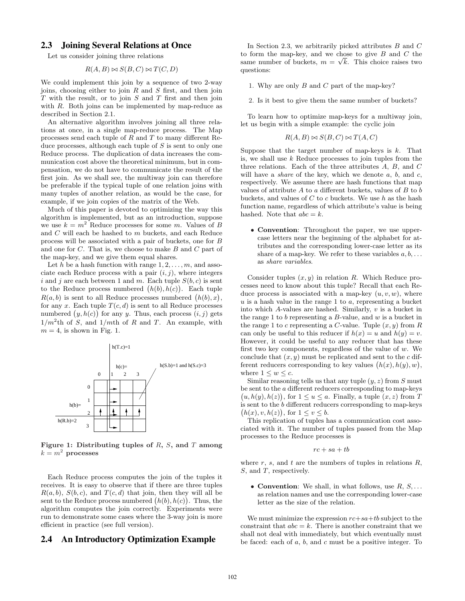# 2.3 Joining Several Relations at Once

Let us consider joining three relations

$$
R(A, B) \bowtie S(B, C) \bowtie T(C, D)
$$

We could implement this join by a sequence of two 2-way joins, choosing either to join  $R$  and  $S$  first, and then join  $T$  with the result, or to join  $S$  and  $T$  first and then join with  $R$ . Both joins can be implemented by map-reduce as described in Section 2.1.

An alternative algorithm involves joining all three relations at once, in a single map-reduce process. The Map processes send each tuple of  $R$  and  $T$  to many different Reduce processes, although each tuple of  $S$  is sent to only one Reduce process. The duplication of data increases the communication cost above the theoretical minimum, but in compensation, we do not have to communicate the result of the first join. As we shall see, the multiway join can therefore be preferable if the typical tuple of one relation joins with many tuples of another relation, as would be the case, for example, if we join copies of the matrix of the Web.

Much of this paper is devoted to optimizing the way this algorithm is implemented, but as an introduction, suppose we use  $k = m^2$  Reduce processes for some m. Values of B and C will each be hashed to m buckets, and each Reduce process will be associated with a pair of buckets, one for B and one for  $C$ . That is, we choose to make  $B$  and  $C$  part of the map-key, and we give them equal shares.

Let h be a hash function with range  $1, 2, \ldots, m$ , and associate each Reduce process with a pair  $(i, j)$ , where integers i and j are each between 1 and m. Each tuple  $S(b, c)$  is sent  $i$  and  $j$  are each between 1 and  $m$ . Each tuple  $S(0, c)$  is sent<br>to the Reduce process numbered  $(h(b), h(c))$ . Each tuple to the Neutre process numbered  $(n(0), n(c))$ . Each tuple  $R(a, b)$  is sent to all Reduce processes numbered  $(h(b), x)$ , for any x. Each tuple  $T(c, d)$  is sent to all Reduce processes for any x. Each tuple  $I(c, d)$  is sent to all Keduce processes<br>numbered  $(y, h(c))$  for any y. Thus, each process  $(i, j)$  gets  $1/m^2$ th of S, and  $1/m$ th of R and T. An example, with  $m = 4$ , is shown in Fig. 1.



Figure 1: Distributing tuples of  $R$ ,  $S$ , and  $T$  among  $k = m^2$  processes

Each Reduce process computes the join of the tuples it receives. It is easy to observe that if there are three tuples  $R(a, b), S(b, c), \text{ and } T(c, d) \text{ that join, then they will all be }$  $R(a, b)$ ,  $S(b, c)$ , and  $I(c, a)$  that join, then they will all be sent to the Reduce process numbered  $(h(b), h(c))$ . Thus, the algorithm computes the join correctly. Experiments were run to demonstrate some cases where the 3-way join is more efficient in practice (see full version).

## 2.4 An Introductory Optimization Example

In Section 2.3, we arbitrarily picked attributes  $B$  and  $C$ to form the map-key, and we chose to give B and C the same number of buckets,  $m = \sqrt{k}$ . This choice raises two questions:

- 1. Why are only B and C part of the map-key?
- 2. Is it best to give them the same number of buckets?

To learn how to optimize map-keys for a multiway join, let us begin with a simple example: the cyclic join

$$
R(A, B) \bowtie S(B, C) \bowtie T(A, C)
$$

Suppose that the target number of map-keys is  $k$ . That is, we shall use  $k$  Reduce processes to join tuples from the three relations. Each of the three attributes A, B, and C will have a *share* of the key, which we denote  $a, b,$  and  $c,$ respectively. We assume there are hash functions that map values of attribute  $A$  to  $a$  different buckets, values of  $B$  to  $b$ buckets, and values of  $C$  to  $c$  buckets. We use  $h$  as the hash function name, regardless of which attribute's value is being hashed. Note that  $abc = k$ .

• Convention: Throughout the paper, we use uppercase letters near the beginning of the alphabet for attributes and the corresponding lower-case letter as its share of a map-key. We refer to these variables  $a, b, \ldots$ as share variables.

Consider tuples  $(x, y)$  in relation R. Which Reduce processes need to know about this tuple? Recall that each Reduce process is associated with a map-key  $(u, v, w)$ , where  $u$  is a hash value in the range 1 to  $a$ , representing a bucket into which  $A$ -values are hashed. Similarly,  $v$  is a bucket in the range 1 to  $b$  representing a  $B$ -value, and  $w$  is a bucket in the range 1 to c representing a C-value. Tuple  $(x, y)$  from R can only be useful to this reducer if  $h(x) = u$  and  $h(y) = v$ . However, it could be useful to any reducer that has these first two key components, regardless of the value of  $w$ . We conclude that  $(x, y)$  must be replicated and sent to the c difconclude that  $(x, y)$  must be replicated and sent to the c different reducers corresponding to key values  $(h(x), h(y), w)$ , where  $1 \leq w \leq c$ .

Similar reasoning tells us that any tuple  $(y, z)$  from S must be sent to the  $a$  different reducers corresponding to map-keys  $u, h(y), h(z)$ , for  $1 \le u \le a$ . Finally, a tuple  $(x, z)$  from T is sent to the  $\bar{b}$  different reducers corresponding to map-keys  $h(x), v, h(z)$ , for  $1 \le v \le b$ .

This replication of tuples has a communication cost associated with it. The number of tuples passed from the Map processes to the Reduce processes is

 $rc + sa + tb$ 

where  $r$ ,  $s$ , and  $t$  are the numbers of tuples in relations  $R$ , S, and T, respectively.

• Convention: We shall, in what follows, use  $R, S, \ldots$ as relation names and use the corresponding lower-case letter as the size of the relation.

We must minimize the expression  $rc+sa+tb$  subject to the constraint that  $abc = k$ . There is another constraint that we shall not deal with immediately, but which eventually must be faced: each of  $a, b$ , and  $c$  must be a positive integer. To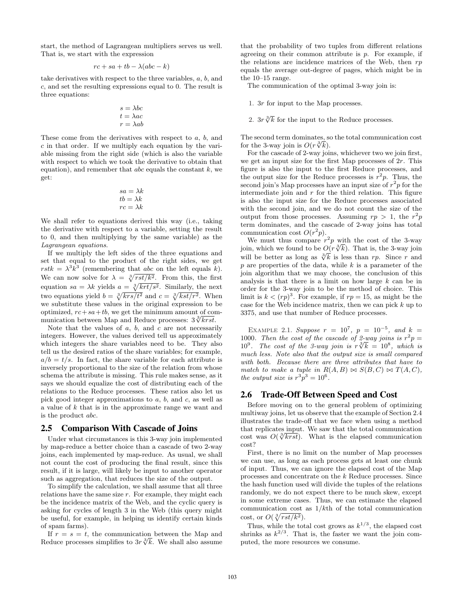start, the method of Lagrangean multipliers serves us well. That is, we start with the expression

$$
rc + sa + tb - \lambda(abc - k)
$$

take derivatives with respect to the three variables, a, b, and c, and set the resulting expressions equal to 0. The result is three equations:

$$
s = \lambda bc
$$
  

$$
t = \lambda ac
$$
  

$$
r = \lambda ab
$$

These come from the derivatives with respect to  $a, b$ , and  $c$  in that order. If we multiply each equation by the variable missing from the right side (which is also the variable with respect to which we took the derivative to obtain that equation), and remember that abc equals the constant  $k$ , we get:

$$
sa = \lambda k
$$
  

$$
tb = \lambda k
$$
  

$$
rc = \lambda k
$$

We shall refer to equations derived this way (i.e., taking the derivative with respect to a variable, setting the result to 0, and then multiplying by the same variable) as the Lagrangean equations.

If we multiply the left sides of the three equations and set that equal to the product of the right sides, we get  $rstk = \lambda^3 k^3$  (remembering that abc on the left equals k).<br>We can now solve for  $\lambda = \frac{3\sqrt{p}st/k^2}{2}$ . Example, the first We can now solve for  $\lambda = \sqrt[3]{rst/k^2}$ . From this, the first we can now solve for  $\lambda = \sqrt{rst/k^2}$ . From this, the first<br>equation  $sa = \lambda k$  yields  $a = \sqrt[3]{krt/s^2}$ . Similarly, the next equation  $su = \lambda \kappa$  yields  $a = \sqrt{\kappa r}$ , S. Similarly, the next<br>two equations yield  $b = \sqrt[3]{krs}/t^2$  and  $c = \sqrt[3]{kst}/r^2$ . When we substitute these values in the original expression to be optimized,  $rc+sa+tb$ , we get the minimum amount of comoptimized,  $rc + sa + tb$ , we get the minimum amount of con-<br>munication between Map and Reduce processes:  $3\sqrt[3]{krst}$ .

Note that the values of  $a, b,$  and  $c$  are not necessarily integers. However, the values derived tell us approximately which integers the share variables need to be. They also tell us the desired ratios of the share variables; for example,  $a/b = t/s$ . In fact, the share variable for each attribute is inversely proportional to the size of the relation from whose schema the attribute is missing. This rule makes sense, as it says we should equalize the cost of distributing each of the relations to the Reduce processes. These ratios also let us pick good integer approximations to  $a, b$ , and  $c$ , as well as a value of k that is in the approximate range we want and is the product abc.

#### 2.5 Comparison With Cascade of Joins

Under what circumstances is this 3-way join implemented by map-reduce a better choice than a cascade of two 2-way joins, each implemented by map-reduce. As usual, we shall not count the cost of producing the final result, since this result, if it is large, will likely be input to another operator such as aggregation, that reduces the size of the output.

To simplify the calculation, we shall assume that all three relations have the same size  $r$ . For example, they might each be the incidence matrix of the Web, and the cyclic query is asking for cycles of length 3 in the Web (this query might be useful, for example, in helping us identify certain kinds of spam farms).

If  $r = s = t$ , the communication between the Map and Reduce processes simplifies to  $3r\sqrt[3]{k}$ . We shall also assume that the probability of two tuples from different relations agreeing on their common attribute is  $p$ . For example, if the relations are incidence matrices of the Web, then rp equals the average out-degree of pages, which might be in the 10–15 range.

The communication of the optimal 3-way join is:

- 1. 3r for input to the Map processes.
- 2.  $3r\sqrt[3]{k}$  for the input to the Reduce processes.

The second term dominates, so the total communication cost<br> $\int_{\mathbb{R}^n}$  the 2 num isin is  $O(n^{\frac{3}{L}})$ for the 3-way join is  $O(r\sqrt[3]{k})$ .

For the cascade of 2-way joins, whichever two we join first, we get an input size for the first Map processes of 2r. This figure is also the input to the first Reduce processes, and the output size for the Reduce processes is  $r^2p$ . Thus, the second join's Map processes have an input size of  $r^2p$  for the intermediate join and  $r$  for the third relation. This figure is also the input size for the Reduce processes associated with the second join, and we do not count the size of the output from those processes. Assuming  $rp > 1$ , the  $r^2p$ term dominates, and the cascade of 2-way joins has total communication cost  $O(r^2p)$ .

We must thus compare  $r^2p$  with the cost of the 3-way We must thus compare  $r^2p$  with the cost of the 3-way<br>join, which we found to be  $O(r\sqrt[3]{k})$ . That is, the 3-way join yoin, which we found to be  $O(r\sqrt{\kappa})$ . That is, the 3-way join<br>will be better as long as  $\sqrt[3]{k}$  is less than rp. Since r and  $p$  are properties of the data, while  $k$  is a parameter of the join algorithm that we may choose, the conclusion of this analysis is that there is a limit on how large k can be in order for the 3-way join to be the method of choice. This limit is  $k < (rp)^3$ . For example, if  $rp = 15$ , as might be the case for the Web incidence matrix, then we can pick  $k$  up to 3375, and use that number of Reduce processes.

EXAMPLE 2.1. Suppose  $r = 10^7$ ,  $p = 10^{-5}$ , and  $k =$ 1000. Then the cost of the cascade of 2-way joins is  $r^2p =$ <br>10<sup>9</sup> Theoret of the 2 way is in  $\frac{3}{L}$  10<sup>8</sup> which is 10<sup>9</sup>. The cost of the 3-way join is  $r\sqrt[3]{k} = 10^8$ , which is much less. Note also that the output size is small compared with both. Because there are three attributes that have to match to make a tuple in  $R(A, B) \bowtie S(B, C) \bowtie T(A, C)$ , the output size is  $r^3p^3 = 10^6$ .

## 2.6 Trade-Off Between Speed and Cost

Before moving on to the general problem of optimizing multiway joins, let us observe that the example of Section 2.4 illustrates the trade-off that we face when using a method that replicates input. We saw that the total communication cost was  $O(\sqrt[3]{k}rst)$ . What is the elapsed communication cost?

First, there is no limit on the number of Map processes we can use, as long as each process gets at least one chunk of input. Thus, we can ignore the elapsed cost of the Map processes and concentrate on the k Reduce processes. Since the hash function used will divide the tuples of the relations randomly, we do not expect there to be much skew, except in some extreme cases. Thus, we can estimate the elapsed communication cost as  $1/kh$  of the total communication communication cost<br>cost, or  $O(\sqrt[3]{rst/k^2})$ .

Thus, while the total cost grows as  $k^{1/3}$ , the elapsed cost shrinks as  $k^{2/3}$ . That is, the faster we want the join computed, the more resources we consume.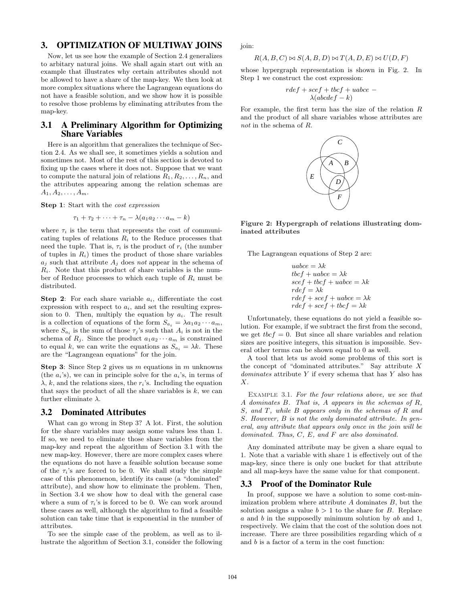# 3. OPTIMIZATION OF MULTIWAY JOINS

Now, let us see how the example of Section 2.4 generalizes to arbitary natural joins. We shall again start out with an example that illustrates why certain attributes should not be allowed to have a share of the map-key. We then look at more complex situations where the Lagrangean equations do not have a feasible solution, and we show how it is possible to resolve those problems by eliminating attributes from the map-key.

# 3.1 A Preliminary Algorithm for Optimizing Share Variables

Here is an algorithm that generalizes the technique of Section 2.4. As we shall see, it sometimes yields a solution and sometimes not. Most of the rest of this section is devoted to fixing up the cases where it does not. Suppose that we want to compute the natural join of relations  $R_1, R_2, \ldots, R_n$ , and the attributes appearing among the relation schemas are  $A_1, A_2, \ldots, A_m$ .

Step 1: Start with the *cost expression* 

$$
\tau_1 + \tau_2 + \cdots + \tau_n - \lambda(a_1a_2\cdots a_m - k)
$$

where  $\tau_i$  is the term that represents the cost of communicating tuples of relations  $R_i$  to the Reduce processes that need the tuple. That is,  $\tau_i$  is the product of  $r_i$  (the number of tuples in  $R_i$ ) times the product of those share variables  $a_i$  such that attribute  $A_i$  does not appear in the schema of  $R_i$ . Note that this product of share variables is the number of Reduce processes to which each tuple of  $R_i$  must be distributed.

**Step 2:** For each share variable  $a_i$ , differentiate the cost expression with respect to  $a_i$ , and set the resulting expression to 0. Then, multiply the equation by  $a_i$ . The result is a collection of equations of the form  $S_{a_i} = \lambda a_1 a_2 \cdots a_m$ , where  $S_{a_i}$  is the sum of those  $\tau_j$ 's such that  $A_i$  is not in the schema of  $R_j$ . Since the product  $a_1 a_2 \cdots a_m$  is constrained to equal k, we can write the equations as  $S_{a_i} = \lambda k$ . These are the "Lagrangean equations" for the join.

Step 3: Since Step 2 gives us  $m$  equations in  $m$  unknowns (the  $a_i$ 's), we can in principle solve for the  $a_i$ 's, in terms of  $\lambda$ , k, and the relations sizes, the r<sub>i</sub>'s. Including the equation that says the product of all the share variables is  $k$ , we can further eliminate  $\lambda$ .

#### 3.2 Dominated Attributes

What can go wrong in Step 3? A lot. First, the solution for the share variables may assign some values less than 1. If so, we need to eliminate those share variables from the map-key and repeat the algorithm of Section 3.1 with the new map-key. However, there are more complex cases where the equations do not have a feasible solution because some of the  $\tau_i$ 's are forced to be 0. We shall study the simple case of this phenomenon, identify its cause (a "dominated" attribute), and show how to eliminate the problem. Then, in Section 3.4 we show how to deal with the general case where a sum of  $\tau_i$ 's is forced to be 0. We can work around these cases as well, although the algorithm to find a feasible solution can take time that is exponential in the number of attributes.

To see the simple case of the problem, as well as to illustrate the algorithm of Section 3.1, consider the following join:

$$
R(A, B, C) \bowtie S(A, B, D) \bowtie T(A, D, E) \bowtie U(D, F)
$$

whose hypergraph representation is shown in Fig. 2. In Step 1 we construct the cost expression:

$$
rdef + scef + tbcf + uabce - \lambda (abcdef - k)
$$

For example, the first term has the size of the relation  $R$ and the product of all share variables whose attributes are not in the schema of R.



Figure 2: Hypergraph of relations illustrating dominated attributes

The Lagrangean equations of Step 2 are:

$$
uabc = \lambda k
$$
  
\n
$$
tbcf + uabc = \lambda k
$$
  
\n
$$
scef + tbcf + uabc = \lambda k
$$
  
\n
$$
rdef + secf + uabc = \lambda k
$$
  
\n
$$
rdef + scef + tbcf = \lambda k
$$

Unfortunately, these equations do not yield a feasible solution. For example, if we subtract the first from the second, we get  $t\,i\leq t = 0$ . But since all share variables and relation sizes are positive integers, this situation is impossible. Several other terms can be shown equal to 0 as well.

A tool that lets us avoid some problems of this sort is the concept of "dominated attributes." Say attribute X  $dominates$  attribute Y if every schema that has Y also has X.

EXAMPLE 3.1. For the four relations above, we see that A dominates B. That is, A appears in the schemas of R, S, and T, while B appears only in the schemas of R and S. However, B is not the only dominated attribute. In general, any attribute that appears only once in the join will be dominated. Thus, C, E, and F are also dominated.

Any dominated attribute may be given a share equal to 1. Note that a variable with share 1 is effectively out of the map-key, since there is only one bucket for that attribute and all map-keys have the same value for that component.

#### 3.3 Proof of the Dominator Rule

In proof, suppose we have a solution to some cost-minimization problem where attribute  $A$  dominates  $B$ , but the solution assigns a value  $b > 1$  to the share for B. Replace  $a$  and  $b$  in the supposedly minimum solution by  $ab$  and 1, respectively. We claim that the cost of the solution does not increase. There are three possibilities regarding which of a and  $b$  is a factor of a term in the cost function: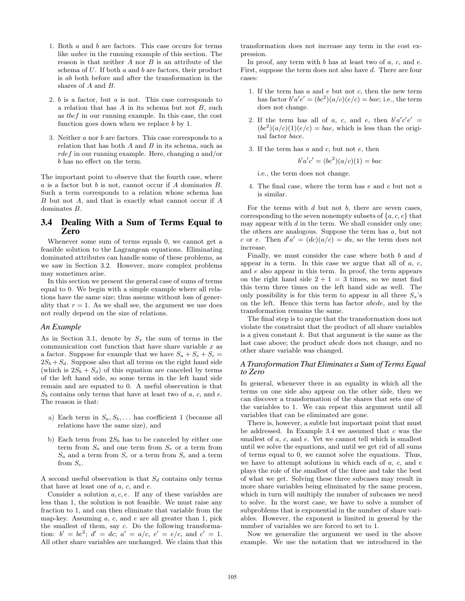- 1. Both a and b are factors. This case occurs for terms like uabce in the running example of this section. The reason is that neither  $A$  nor  $B$  is an attribute of the schema of  $U$ . If both  $a$  and  $b$  are factors, their product is ab both before and after the transformation in the shares of A and B.
- 2.  $b$  is a factor, but  $a$  is not. This case corresponds to a relation that has  $A$  in its schema but not  $B$ , such as tbcf in our running example. In this case, the cost function goes down when we replace b by 1.
- 3. Neither  $a$  nor  $b$  are factors. This case corresponds to a relation that has both  $A$  and  $B$  in its schema, such as  $rdef$  in our running example. Here, changing a and/or b has no effect on the term.

The important point to observe that the fourth case, where  $a$  is a factor but  $b$  is not, cannot occur if  $A$  dominates  $B$ . Such a term corresponds to a relation whose schema has B but not A, and that is exactly what cannot occur if A dominates B.

# 3.4 Dealing With a Sum of Terms Equal to Zero

Whenever some sum of terms equals 0, we cannot get a feasible solution to the Lagrangean equations. Eliminating dominated attributes can handle some of these problems, as we saw in Section 3.2. However, more complex problems may sometimes arise.

In this section we present the general case of sums of terms equal to 0. We begin with a simple example where all relations have the same size; thus assume without loss of generality that  $r = 1$ . As we shall see, the argument we use does not really depend on the size of relations.

# *An Example*

As in Section 3.1, denote by  $S_x$  the sum of terms in the communication cost function that have share variable  $x$  as a factor. Suppose for example that we have  $S_a + S_e + S_c =$  $2S_b + S_d$ . Suppose also that all terms on the right hand side (which is  $2S_b + S_d$ ) of this equation are canceled by terms of the left hand side, so some terms in the left hand side remain and are equated to 0. A useful observation is that  $S_b$  contains only terms that have at least two of a, c, and e. The reason is that:

- a) Each term in  $S_a, S_b, \ldots$  has coefficient 1 (because all relations have the same size), and
- b) Each term from  $2S_b$  has to be canceled by either one term from  $S_a$  and one term from  $S_e$  or a term from  $S_a$  and a term from  $S_c$  or a term from  $S_c$  and a term from  $S_e$ .

A second useful observation is that  $S_d$  contains only terms that have at least one of  $a, c$ , and  $e$ .

Consider a solution  $a, c, e$ . If any of these variables are less than 1, the solution is not feasible. We must raise any fraction to 1, and can then eliminate that variable from the map-key. Assuming  $a, c,$  and  $e$  are all greater than 1, pick the smallest of them, say c. Do the following transformation:  $b' = bc^2$ ;  $d' = dc$ ;  $a' = a/c$ ,  $e' = e/c$ , and  $c' = 1$ . All other share variables are unchanged. We claim that this transformation does not increase any term in the cost expression.

In proof, any term with  $b$  has at least two of  $a, c$ , and  $e$ . First, suppose the term does not also have d. There are four cases:

- 1. If the term has  $a$  and  $e$  but not  $c$ , then the new term has factor  $b'a'e' = (bc^2)(a/c)(e/c) = bae$ ; i.e., the term does not change.
- 2. If the term has all of a, c, and e, then  $b'a'c'e' =$  $(bc^2)(a/c)(1)(e/c) = bae$ , which is less than the original factor bace.
- 3. If the term has  $a$  and  $c$ , but not  $e$ , then

$$
b'a'c' = (bc2)(a/c)(1) = bac
$$

i.e., the term does not change.

4. The final case, where the term has e and c but not a is similar.

For the terms with  $d$  but not  $b$ , there are seven cases, corresponding to the seven nonempty subsets of  $\{a, c, e\}$  that may appear with  $d$  in the term. We shall consider only one; the others are analogous. Suppose the term has a, but not c or e. Then  $d'a' = (dc)(a/c) = da$ , so the term does not increase.

Finally, we must consider the case where both b and d appear in a term. In this case we argue that all of  $a, c$ , and e also appear in this term. In proof, the term appears on the right hand side  $2 + 1 = 3$  times, so we must find this term three times on the left hand side as well. The only possibility is for this term to appear in all three  $S_x$ 's on the left. Hence this term has factor abcde, and by the transformation remains the same.

The final step is to argue that the transformation does not violate the constraint that the product of all share variables is a given constant  $k$ . But that argument is the same as the last case above; the product abcde does not change, and no other share variable was changed.

#### *A Transformation That Eliminates a Sum of Terms Equal to Zero*

In general, whenever there is an equality in which all the terms on one side also appear on the other side, then we can discover a transformation of the shares that sets one of the variables to 1. We can repeat this argument until all variables that can be eliminated are gone.

There is, however, a subtle but important point that must be addressed. In Example 3.4 we assumed that c was the smallest of a, c, and e. Yet we cannot tell which is smallest until we solve the equations, and until we get rid of all sums of terms equal to 0, we cannot solve the equations. Thus, we have to attempt solutions in which each of  $a, c,$  and  $e$ plays the role of the smallest of the three and take the best of what we get. Solving these three subcases may result in more share variables being eliminated by the same process, which in turn will multiply the number of subcases we need to solve. In the worst case, we have to solve a number of subproblems that is exponential in the number of share variables. However, the exponent is limited in general by the number of variables we are forced to set to 1.

Now we generalize the argument we used in the above example. We use the notation that we introduced in the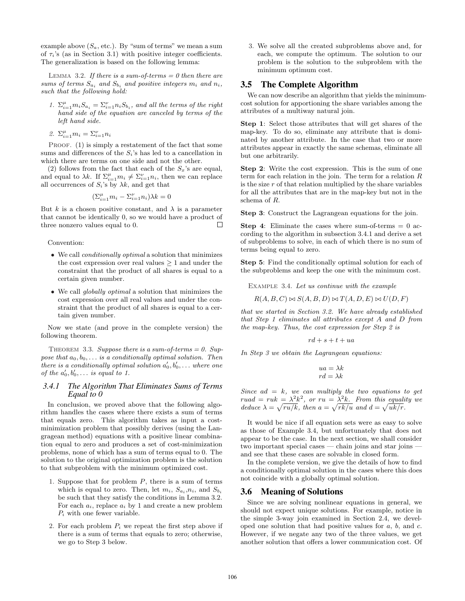example above  $(S_a, \text{etc.})$ . By "sum of terms" we mean a sum of  $\tau_i$ 's (as in Section 3.1) with positive integer coefficients. The generalization is based on the following lemma:

LEMMA 3.2. If there is a sum-of-terms  $= 0$  then there are sums of terms  $S_{a_i}$  and  $S_{b_i}$  and positive integers  $m_i$  and  $n_i$ , such that the following hold:

- 1.  $\Sigma_{i=1}^{\mu} m_i S_{a_i} = \Sigma_{i=1}^{\nu} n_i S_{b_i}$ , and all the terms of the right hand side of the equation are canceled by terms of the left hand side.
- 2.  $\Sigma_{i=1}^{\mu} m_i = \Sigma_{i=1}^{\nu} n_i$

PROOF. (1) is simply a restatement of the fact that some sums and differences of the  $S_i$ 's has led to a cancellation in which there are terms on one side and not the other.

(2) follows from the fact that each of the  $S_x$ 's are equal, and equal to  $\lambda k$ . If  $\Sigma_{i=1}^{\mu} m_i \neq \Sigma_{i=1}^{\nu} n_i$ , then we can replace all occurrences of  $S_i$ 's by  $\lambda k$ , and get that

$$
(\Sigma_{i=1}^{\mu} m_i - \Sigma_{i=1}^{\nu} n_i) \lambda k = 0
$$

But k is a chosen positive constant, and  $\lambda$  is a parameter that cannot be identically 0, so we would have a product of three nonzero values equal to 0.  $\Box$ 

Convention:

- We call conditionally optimal a solution that minimizes the cost expression over real values  $\geq 1$  and under the constraint that the product of all shares is equal to a certain given number.
- We call *globally optimal* a solution that minimizes the cost expression over all real values and under the constraint that the product of all shares is equal to a certain given number.

Now we state (and prove in the complete version) the following theorem.

THEOREM 3.3. Suppose there is a sum-of-terms = 0. Suppose that  $a_0, b_0, \ldots$  is a conditionally optimal solution. Then there is a conditionally optimal solution  $a'_0, b'_0, \ldots$  where one of the  $a'_0, b'_0, \ldots$  is equal to 1.

#### *3.4.1 The Algorithm That Eliminates Sums of Terms Equal to 0*

In conclusion, we proved above that the following algorithm handles the cases where there exists a sum of terms that equals zero. This algorithm takes as input a costminimization problem that possibly derives (using the Langragean method) equations with a positive linear combination equal to zero and produces a set of cost-minimization problems, none of which has a sum of terms equal to 0. The solution to the original optimization problem is the solution to that subproblem with the minimum optimized cost.

- 1. Suppose that for problem  $P$ , there is a sum of terms which is equal to zero. Then, let  $m_i$ ,  $S_{a_i}, n_i$ , and  $S_{b_i}$ be such that they satisfy the conditions in Lemma 3.2. For each  $a_i$ , replace  $a_i$  by 1 and create a new problem  $P_i$  with one fewer variable.
- 2. For each problem  $P_i$  we repeat the first step above if there is a sum of terms that equals to zero; otherwise, we go to Step 3 below.

3. We solve all the created subproblems above and, for each, we compute the optimum. The solution to our problem is the solution to the subproblem with the minimum optimum cost.

# 3.5 The Complete Algorithm

We can now describe an algorithm that yields the minimumcost solution for apportioning the share variables among the attributes of a multiway natural join.

Step 1: Select those attributes that will get shares of the map-key. To do so, eliminate any attribute that is dominated by another attribute. In the case that two or more attributes appear in exactly the same schemas, eliminate all but one arbitrarily.

Step 2: Write the cost expression. This is the sum of one term for each relation in the join. The term for a relation R is the size  $r$  of that relation multiplied by the share variables for all the attributes that are in the map-key but not in the schema of R.

Step 3: Construct the Lagrangean equations for the join.

**Step 4:** Eliminate the cases where sum-of-terms  $= 0$  according to the algorithm in subsection 3.4.1 and derive a set of subproblems to solve, in each of which there is no sum of terms being equal to zero.

Step 5: Find the conditionally optimal solution for each of the subproblems and keep the one with the minimum cost.

EXAMPLE 3.4. Let us continue with the example

 $R(A, B, C) \bowtie S(A, B, D) \bowtie T(A, D, E) \bowtie U(D, F)$ 

that we started in Section 3.2. We have already established that Step 1 eliminates all attributes except A and D from the map-key. Thus, the cost expression for Step 2 is

$$
rd + s + t + ua
$$

In Step 3 we obtain the Lagrangean equations:

$$
ua = \lambda k
$$

$$
rd = \lambda k
$$

Since  $ad = k$ , we can multiply the two equations to get  $ruad = ruk = \lambda^2 k^2$ , or  $ru = \lambda^2 k$ . From this equality we ruad = ruk =  $\lambda^2 k^2$ , or ru =  $\lambda^2 k$ . From this equali-<br>deduce  $\lambda = \sqrt{ru/k}$ , then  $a = \sqrt{rk/u}$  and  $d = \sqrt{uk/r}$ .

It would be nice if all equation sets were as easy to solve as those of Example 3.4, but unfortunately that does not appear to be the case. In the next section, we shall consider two important special cases — chain joins and star joins and see that these cases are solvable in closed form.

In the complete version, we give the details of how to find a conditionally optimal solution in the cases where this does not coincide with a globally optimal solution.

# 3.6 Meaning of Solutions

Since we are solving nonlinear equations in general, we should not expect unique solutions. For example, notice in the simple 3-way join examined in Section 2.4, we developed one solution that had positive values for  $a, b,$  and  $c$ . However, if we negate any two of the three values, we get another solution that offers a lower communication cost. Of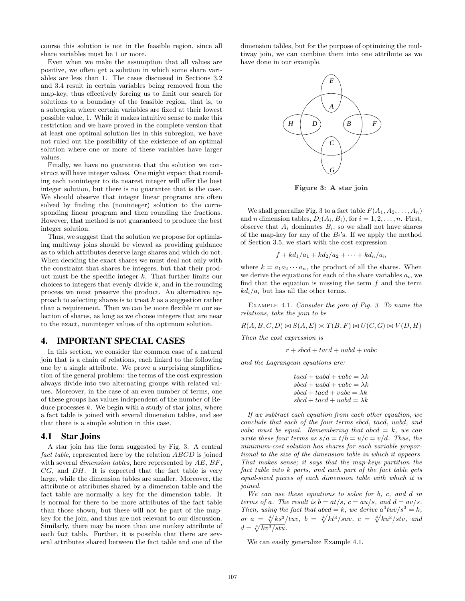course this solution is not in the feasible region, since all share variables must be 1 or more.

Even when we make the assumption that all values are positive, we often get a solution in which some share variables are less than 1. The cases discussed in Sections 3.2 and 3.4 result in certain variables being removed from the map-key, thus effectively forcing us to limit our search for solutions to a boundary of the feasible region, that is, to a subregion where certain variables are fixed at their lowest possible value, 1. While it makes intuitive sense to make this restriction and we have proved in the complete version that at least one optimal solution lies in this subregion, we have not ruled out the possibility of the existence of an optimal solution where one or more of these variables have larger values.

Finally, we have no guarantee that the solution we construct will have integer values. One might expect that rounding each noninteger to its nearest integer will offer the best integer solution, but there is no guarantee that is the case. We should observe that integer linear programs are often solved by finding the (noninteger) solution to the corresponding linear program and then rounding the fractions. However, that method is not guaranteed to produce the best integer solution.

Thus, we suggest that the solution we propose for optimizing multiway joins should be viewed as providing guidance as to which attributes deserve large shares and which do not. When deciding the exact shares we must deal not only with the constraint that shares be integers, but that their product must be the specific integer  $k$ . That further limits our choices to integers that evenly divide  $k$ , and in the rounding process we must preserve the product. An alternative approach to selecting shares is to treat  $k$  as a suggestion rather than a requirement. Then we can be more flexible in our selection of shares, as long as we choose integers that are near to the exact, noninteger values of the optimum solution.

## 4. IMPORTANT SPECIAL CASES

In this section, we consider the common case of a natural join that is a chain of relations, each linked to the following one by a single attribute. We prove a surprising simplification of the general problem: the terms of the cost expression always divide into two alternating groups with related values. Moreover, in the case of an even number of terms, one of these groups has values independent of the number of Reduce processes  $k$ . We begin with a study of star joins, where a fact table is joined with several dimension tables, and see that there is a simple solution in this case.

#### 4.1 Star Joins

A star join has the form suggested by Fig. 3. A central fact table, represented here by the relation ABCD is joined with several *dimension tables*, here represented by  $AE$ ,  $BF$ ,  $CG$ , and  $DH$ . It is expected that the fact table is very large, while the dimension tables are smaller. Moreover, the attribute or attributes shared by a dimension table and the fact table are normally a key for the dimension table. It is normal for there to be more attributes of the fact table than those shown, but these will not be part of the mapkey for the join, and thus are not relevant to our discussion. Similarly, there may be more than one nonkey attribute of each fact table. Further, it is possible that there are several attributes shared between the fact table and one of the dimension tables, but for the purpose of optimizing the multiway join, we can combine them into one attribute as we have done in our example.



Figure 3: A star join

We shall generalize Fig. 3 to a fact table  $F(A_1, A_2, \ldots, A_n)$ and *n* dimension tables,  $D_i(A_i, B_i)$ , for  $i = 1, 2, ..., n$ . First, observe that  $A_i$  dominates  $B_i$ , so we shall not have shares of the map-key for any of the  $B_i$ 's. If we apply the method of Section 3.5, we start with the cost expression

$$
f + kd_1/a_1 + kd_2/a_2 + \cdots + kd_n/a_n
$$

where  $k = a_1 a_2 \cdots a_n$ , the product of all the shares. When we derive the equations for each of the share variables  $a_i$ , we find that the equation is missing the term  $f$  and the term  $kd_i/a_i$  but has all the other terms.

Example 4.1. Consider the join of Fig. 3. To name the relations, take the join to be

$$
R(A, B, C, D) \bowtie S(A, E) \bowtie T(B, F) \bowtie U(C, G) \bowtie V(D, H)
$$

Then the cost expression is

 $r + sbcd + tacd + uabd + vabc$ 

and the Lagrangean equations are:

$$
tacd + uabd + vabc = \lambda k
$$
  
\n
$$
sbcd + uabd + vabc = \lambda k
$$
  
\n
$$
sbcd + tacd + uabd = \lambda k
$$

If we subtract each equation from each other equation, we conclude that each of the four terms sbcd, tacd, uabd, and vabc must be equal. Remembering that  $abcd = k$ , we can write these four terms as  $s/a = t/b = u/c = v/d$ . Thus, the minimum-cost solution has shares for each variable proportional to the size of the dimension table in which it appears. That makes sense; it says that the map-keys partition the fact table into k parts, and each part of the fact table gets equal-sized pieces of each dimension table with which it is joined.

We can use these equations to solve for b, c, and d in terms of a. The result is  $b = at/s$ ,  $c = au/s$ , and  $d = av/s$ . Then, using the fact that abcd = k, we derive  $a^4 \text{tuv/s}^3 = k$ , Then, using the fact that  $\omega a = k$ , we derive a  $\omega v/s = k$ ,<br>or  $a = \sqrt[4]{ks^3/tuv}$ ,  $b = \sqrt[4]{kt^3/suv}$ ,  $c = \sqrt[4]{ku^3/stv}$ , and  $d = \sqrt[4]{kv^3/stu}.$ 

We can easily generalize Example 4.1.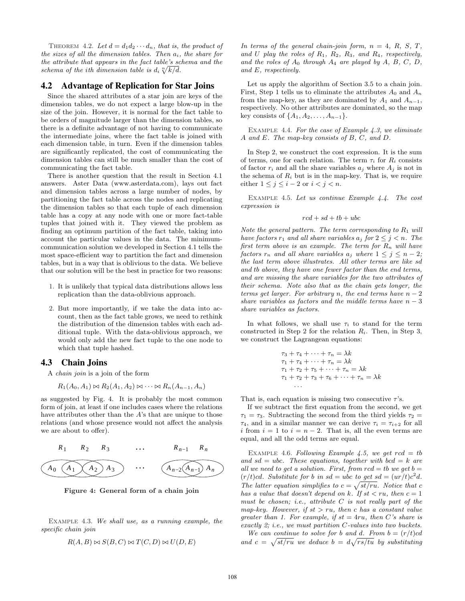THEOREM 4.2. Let  $d = d_1 d_2 \cdots d_n$ , that is, the product of the sizes of all the dimension tables. Then  $a_i$ , the share for the attribute that appears in the fact table's schema and the the attribute that appears in the fact table's sc<br>schema of the ith dimension table is  $d_i \sqrt[n]{k/d}$ .

#### 4.2 Advantage of Replication for Star Joins

Since the shared attributes of a star join are keys of the dimension tables, we do not expect a large blow-up in the size of the join. However, it is normal for the fact table to be orders of magnitude larger than the dimension tables, so there is a definite advantage of not having to communicate the intermediate joins, where the fact table is joined with each dimension table, in turn. Even if the dimension tables are significantly replicated, the cost of communicating the dimension tables can still be much smaller than the cost of communicating the fact table.

There is another question that the result in Section 4.1 answers. Aster Data (www.asterdata.com), lays out fact and dimension tables across a large number of nodes, by partitioning the fact table across the nodes and replicating the dimension tables so that each tuple of each dimension table has a copy at any node with one or more fact-table tuples that joined with it. They viewed the problem as finding an optimum partition of the fact table, taking into account the particular values in the data. The minimumcommunication solution we developed in Section 4.1 tells the most space-efficient way to partition the fact and dimension tables, but in a way that is oblivious to the data. We believe that our solution will be the best in practice for two reasons:

- 1. It is unlikely that typical data distributions allows less replication than the data-oblivious approach.
- 2. But more importantly, if we take the data into account, then as the fact table grows, we need to rethink the distribution of the dimension tables with each additional tuple. With the data-oblivious approach, we would only add the new fact tuple to the one node to which that tuple hashed.

# 4.3 Chain Joins

A chain join is a join of the form

$$
R_1(A_0, A_1) \bowtie R_2(A_1, A_2) \bowtie \cdots \bowtie R_n(A_{n-1}, A_n)
$$

as suggested by Fig. 4. It is probably the most common form of join, at least if one includes cases where the relations have attributes other than the A's that are unique to those relations (and whose presence would not affect the analysis we are about to offer).



Figure 4: General form of a chain join

EXAMPLE 4.3. We shall use, as a running example, the specific chain join

$$
R(A, B) \bowtie S(B, C) \bowtie T(C, D) \bowtie U(D, E)
$$

In terms of the general chain-join form,  $n = 4, R, S, T$ , and U play the roles of  $R_1$ ,  $R_2$ ,  $R_3$ , and  $R_4$ , respectively, and the roles of  $A_0$  through  $A_4$  are played by  $A, B, C, D$ , and E, respectively.

Let us apply the algorithm of Section 3.5 to a chain join. First, Step 1 tells us to eliminate the attributes  $A_0$  and  $A_n$ from the map-key, as they are dominated by  $A_1$  and  $A_{n-1}$ , respectively. No other attributes are dominated, so the map key consists of  $\{A_1, A_2, \ldots, A_{n-1}\}.$ 

EXAMPLE 4.4. For the case of Example 4.3, we eliminate A and E. The map-key consists of B, C, and D.

In Step 2, we construct the cost expression. It is the sum of terms, one for each relation. The term  $\tau_i$  for  $R_i$  consists of factor  $r_i$  and all the share variables  $a_i$  where  $A_i$  is not in the schema of  $R_i$  but is in the map-key. That is, we require either  $1 \leq j \leq i-2$  or  $i < j < n$ .

EXAMPLE 4.5. Let us continue Example 4.4. The cost expression is

$$
rcd + sd + tb + ubc
$$

Note the general pattern. The term corresponding to  $R_1$  will have factors  $r_1$  and all share variables  $a_j$  for  $2 \leq j \leq n$ . The first term above is an example. The term for  $R_n$  will have factors  $r_n$  and all share variables  $a_j$  where  $1 \leq j \leq n-2$ ; the last term above illustrates. All other terms are like sd and tb above, they have one fewer factor than the end terms, and are missing the share variables for the two attributes of their schema. Note also that as the chain gets longer, the terms get larger. For arbitrary n, the end terms have  $n-2$ share variables as factors and the middle terms have  $n-3$ share variables as factors.

In what follows, we shall use  $\tau_i$  to stand for the term constructed in Step 2 for the relation  $R_i$ . Then, in Step 3, we construct the Lagrangean equations:

$$
\tau_3 + \tau_4 + \cdots + \tau_n = \lambda k
$$
  
\n
$$
\tau_1 + \tau_4 + \cdots + \tau_n = \lambda k
$$
  
\n
$$
\tau_1 + \tau_2 + \tau_5 + \cdots + \tau_n = \lambda k
$$
  
\n
$$
\tau_1 + \tau_2 + \tau_3 + \tau_6 + \cdots + \tau_n = \lambda k
$$
  
\n...

That is, each equation is missing two consecutive  $\tau$ 's.

If we subtract the first equation from the second, we get  $\tau_1 = \tau_3$ . Subtracting the second from the third yields  $\tau_2 =$  $\tau_4$ , and in a similar manner we can derive  $\tau_i = \tau_{i+2}$  for all i from  $i = 1$  to  $i = n - 2$ . That is, all the even terms are equal, and all the odd terms are equal.

EXAMPLE 4.6. Following Example 4.5, we get  $rcd = tb$ and sd = ubc. These equations, together with bcd = k are all we need to get a solution. First, from  $rcd = tb$  we get  $b =$  $(r/t)cd$ . Substitute for b in sd = ubc to get sd =  $(ar/t)c^2d$ . The latter equation simplifies to  $c = \sqrt{st/ru}$ . Notice that c has a value that doesn't depend on k. If  $st < ru$ , then  $c = 1$ must be chosen; i.e., attribute  $C$  is not really part of the map-key. However, if  $st > ru$ , then c has a constant value greater than 1. For example, if  $st = 4ru$ , then C's share is exactly  $2$ ; i.e., we must partition  $C$ -values into two buckets.

We can continue to solve for b and d. From  $b = (r/t)cd$ and  $c = \sqrt{st/ru}$  we deduce  $b = d\sqrt{rs/tu}$  by substituting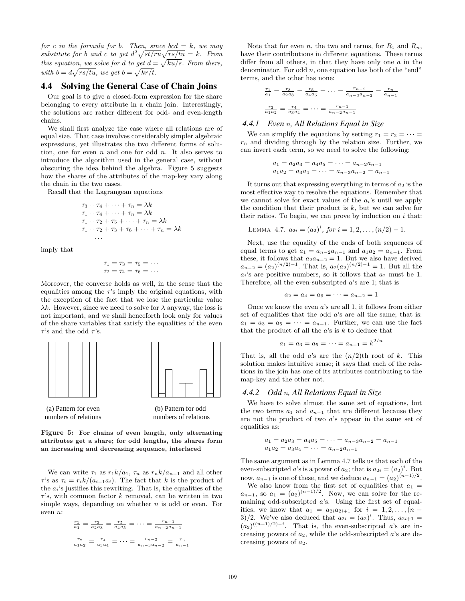for c in the formula for b. Then, since  $bcd = k$ , we may<br>exhibit a fan b and a to get  $d^2$  (ot love  $\sqrt{na/tu} = b$  Fram substitute for b and c to get  $d^2 \sqrt{st/ru\sqrt{rs/tu}} = k$ . From this equation, we solve for d to get  $d = \sqrt{k u/s}$ . From there, with  $b = d\sqrt{rs/tu}$ , we get  $b = \sqrt{kr/t}$ .

# 4.4 Solving the General Case of Chain Joins

Our goal is to give a closed-form expression for the share belonging to every attribute in a chain join. Interestingly, the solutions are rather different for odd- and even-length chains.

We shall first analyze the case where all relations are of equal size. That case involves considerably simpler algebraic expressions, yet illustrates the two different forms of solution, one for even  $n$  and one for odd  $n$ . It also serves to introduce the algorithm used in the general case, without obscuring the idea behind the algebra. Figure 5 suggests how the shares of the attributes of the map-key vary along the chain in the two cases.

Recall that the Lagrangean equations

$$
\tau_3 + \tau_4 + \cdots + \tau_n = \lambda k
$$
  
\n
$$
\tau_1 + \tau_4 + \cdots + \tau_n = \lambda k
$$
  
\n
$$
\tau_1 + \tau_2 + \tau_5 + \cdots + \tau_n = \lambda k
$$
  
\n
$$
\tau_1 + \tau_2 + \tau_3 + \tau_6 + \cdots + \tau_n = \lambda k
$$
  
\n...

imply that

$$
\tau_1 = \tau_3 = \tau_5 = \cdots
$$
  

$$
\tau_2 = \tau_4 = \tau_6 = \cdots
$$

Moreover, the converse holds as well, in the sense that the equalities among the  $\tau$ 's imply the original equations, with the exception of the fact that we lose the particular value  $\lambda k$ . However, since we need to solve for  $\lambda$  anyway, the loss is not important, and we shall henceforth look only for values of the share variables that satisfy the equalities of the even  $\tau$ 's and the odd  $\tau$ 's.



(a) Pattern for even

(b) Pattern for odd numbers of relations numbers of relations

Figure 5: For chains of even length, only alternating attributes get a share; for odd lengths, the shares form an increasing and decreasing sequence, interlaced

We can write  $\tau_1$  as  $r_1k/a_1$ ,  $\tau_n$  as  $r_nk/a_{n-1}$  and all other  $\tau$ 's as  $\tau_i = r_i k/(a_{i-1}a_i)$ . The fact that k is the product of the  $a_i$ 's justifies this rewriting. That is, the equalities of the  $\tau$ 's, with common factor k removed, can be written in two simple ways, depending on whether  $n$  is odd or even. For even n:

$$
\frac{r_1}{a_1} = \frac{r_3}{a_2 a_3} = \frac{r_5}{a_4 a_5} = \dots = \frac{r_{n-1}}{a_{n-2} a_{n-1}}
$$
\n
$$
\frac{r_2}{a_1 a_2} = \frac{r_4}{a_3 a_4} = \dots = \frac{r_{n-2}}{a_{n-3} a_{n-2}} = \frac{r_n}{a_{n-1}}
$$

Note that for even n, the two end terms, for  $R_1$  and  $R_n$ , have their contributions in different equations. These terms differ from all others, in that they have only one  $a$  in the denominator. For odd  $n$ , one equation has both of the "end" terms, and the other has none:

$$
\frac{r_1}{a_1} = \frac{r_3}{a_2 a_3} = \frac{r_5}{a_4 a_5} = \dots = \frac{r_{n-2}}{a_{n-3} a_{n-2}} = \frac{r_n}{a_{n-1}}
$$

$$
\frac{r_2}{a_1 a_2} = \frac{r_4}{a_3 a_4} = \dots = \frac{r_{n-1}}{a_{n-2} a_{n-1}}
$$

#### *4.4.1 Even* n*, All Relations Equal in Size*

We can simplify the equations by setting  $r_1 = r_2 = \cdots =$  $r_n$  and dividing through by the relation size. Further, we can invert each term, so we need to solve the following:

$$
a_1 = a_2 a_3 = a_4 a_5 = \dots = a_{n-2} a_{n-1}
$$
  

$$
a_1 a_2 = a_3 a_4 = \dots = a_{n-3} a_{n-2} = a_{n-1}
$$

It turns out that expressing everything in terms of  $a_2$  is the most effective way to resolve the equations. Remember that we cannot solve for exact values of the  $a_i$ 's until we apply the condition that their product is  $k$ , but we can solve for their ratios. To begin, we can prove by induction on  $i$  that:

LEMMA 4.7. 
$$
a_{2i} = (a_2)^i
$$
, for  $i = 1, 2, ..., (n/2) - 1$ .

Next, use the equality of the ends of both sequences of equal terms to get  $a_1 = a_{n-2}a_{n-1}$  and  $a_1a_2 = a_{n-1}$ . From these, it follows that  $a_2a_{n-2} = 1$ . But we also have derived  $a_{n-2} = (a_2)^{(n/2)-1}$ . That is,  $a_2(a_2)^{(n/2)-1} = 1$ . But all the  $a_i$ 's are positive numbers, so it follows that  $a_2$  must be 1. Therefore, all the even-subscripted a's are 1; that is

$$
a_2 = a_4 = a_6 = \cdots = a_{n-2} = 1
$$

Once we know the even a's are all 1, it follows from either set of equalities that the odd  $a$ 's are all the same; that is:  $a_1 = a_3 = a_5 = \cdots = a_{n-1}$ . Further, we can use the fact that the product of all the  $a$ 's is  $k$  to deduce that

$$
a_1 = a_3 = a_5 = \dots = a_{n-1} = k^{2/n}
$$

That is, all the odd  $a$ 's are the  $(n/2)$ th root of k. This solution makes intuitive sense; it says that each of the relations in the join has one of its attributes contributing to the map-key and the other not.

#### *4.4.2 Odd* n*, All Relations Equal in Size*

We have to solve almost the same set of equations, but the two terms  $a_1$  and  $a_{n-1}$  that are different because they are not the product of two a's appear in the same set of equalities as:

$$
a_1 = a_2 a_3 = a_4 a_5 = \dots = a_{n-3} a_{n-2} = a_{n-1}
$$
  

$$
a_1 a_2 = a_3 a_4 = \dots = a_{n-2} a_{n-1}
$$

The same argument as in Lemma 4.7 tells us that each of the even-subscripted a's is a power of  $a_2$ ; that is  $a_{2i} = (a_2)^i$ . But now,  $a_{n-1}$  is one of these, and we deduce  $a_{n-1} = (a_2)^{(n-1)/2}$ .

We also know from the first set of equalities that  $a_1 =$  $a_{n-1}$ , so  $a_1 = (a_2)^{(n-1)/2}$ . Now, we can solve for the remaining odd-subscripted  $a$ 's. Using the first set of equalities, we know that  $a_1 = a_{2i}a_{2i+1}$  for  $i = 1, 2, ..., (n -$ 3)/2. We've also deduced that  $a_{2i} = (a_2)^i$ . Thus,  $a_{2i+1} =$  $(a_2)^{((n-1)/2)-i}$ . That is, the even-subscripted a's are increasing powers of  $a_2$ , while the odd-subscripted  $a$ 's are decreasing powers of  $a_2$ .